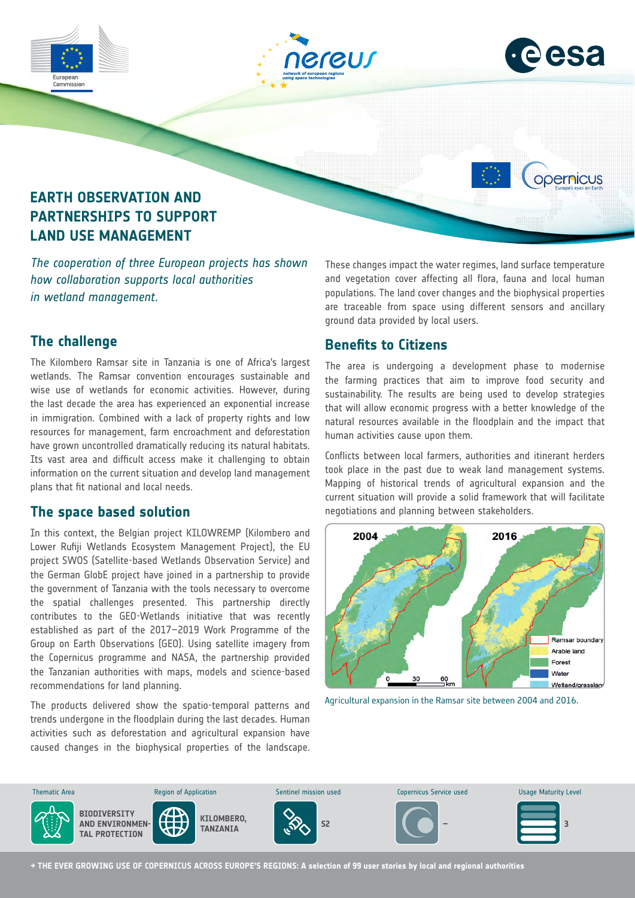

### **The challenge**

The Kilombero Ramsar site in Tanzania is one of Africa's largest wetlands. The Ramsar convention encourages sustainable and wise use of wetlands for economic activities. However, during the last decade the area has experienced an exponential increase in immigration. Combined with a lack of property rights and low resources for management, farm encroachment and deforestation have grown uncontrolled dramatically reducing its natural habitats. Its vast area and difficult access make it challenging to obtain information on the current situation and develop land management plans that fit national and local needs.

#### **The space based solution**

In this context, the Belgian project KILOWREMP (Kilombero and Lower Rufiji Wetlands Ecosystem Management Project), the EU project SWOS (Satellite-based Wetlands Observation Service) and the German GlobE project have joined in a partnership to provide the government of Tanzania with the tools necessary to overcome the spatial challenges presented. This partnership directly contributes to the GEO-Wetlands initiative that was recently established as part of the 2017–2019 Work Programme of the Group on Earth Observations (GEO). Using satellite imagery from the Copernicus programme and NASA, the partnership provided the Tanzanian authorities with maps, models and science-based recommendations for land planning.

The products delivered show the spatio-temporal patterns and trends undergone in the floodplain during the last decades. Human activities such as deforestation and agricultural expansion have caused changes in the biophysical properties of the landscape. are traceable from space using different sensors and ancillary ground data provided by local users.

# **Benefits to Citizens**

The area is undergoing a development phase to modernise the farming practices that aim to improve food security and sustainability. The results are being used to develop strategies that will allow economic progress with a better knowledge of the natural resources available in the floodplain and the impact that human activities cause upon them.

Conflicts between local farmers, authorities and itinerant herders took place in the past due to weak land management systems. Mapping of historical trends of agricultural expansion and the current situation will provide a solid framework that will facilitate negotiations and planning between stakeholders.



Agricultural expansion in the Ramsar site between 2004 and 2016.



**→ THE EVER GROWING USE OF COPERNICUS ACROSS EUROPE'S REGIONS: A selection of 99 user stories by local and regional authorities**